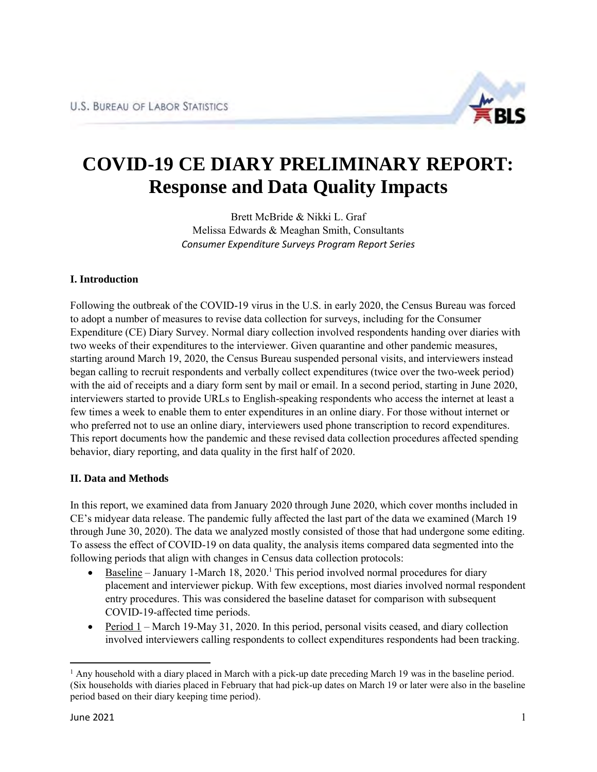

# **COVID-19 CE DIARY PRELIMINARY REPORT: Response and Data Quality Impacts**

Brett McBride & Nikki L. Graf Melissa Edwards & Meaghan Smith, Consultants *Consumer Expenditure Surveys Program Report Series*

# **I. Introduction**

Following the outbreak of the COVID-19 virus in the U.S. in early 2020, the Census Bureau was forced to adopt a number of measures to revise data collection for surveys, including for the Consumer Expenditure (CE) Diary Survey. Normal diary collection involved respondents handing over diaries with two weeks of their expenditures to the interviewer. Given quarantine and other pandemic measures, starting around March 19, 2020, the Census Bureau suspended personal visits, and interviewers instead began calling to recruit respondents and verbally collect expenditures (twice over the two-week period) with the aid of receipts and a diary form sent by mail or email. In a second period, starting in June 2020, interviewers started to provide URLs to English-speaking respondents who access the internet at least a few times a week to enable them to enter expenditures in an online diary. For those without internet or who preferred not to use an online diary, interviewers used phone transcription to record expenditures. This report documents how the pandemic and these revised data collection procedures affected spending behavior, diary reporting, and data quality in the first half of 2020.

# **II. Data and Methods**

In this report, we examined data from January 2020 through June 2020, which cover months included in CE's midyear data release. The pandemic fully affected the last part of the data we examined (March 19 through June 30, 2020). The data we analyzed mostly consisted of those that had undergone some editing. To assess the effect of COVID-19 on data quality, the analysis items compared data segmented into the following periods that align with changes in Census data collection protocols:

- $\bullet$  Baseline January 1-March 18, 2020.<sup>1</sup> This period involved normal procedures for diary placement and interviewer pickup. With few exceptions, most diaries involved normal respondent entry procedures. This was considered the baseline dataset for comparison with subsequent COVID-19-affected time periods.
- Period  $1$  March 19-May 31, 2020. In this period, personal visits ceased, and diary collection involved interviewers calling respondents to collect expenditures respondents had been tracking.

<sup>&</sup>lt;sup>1</sup> Any household with a diary placed in March with a pick-up date preceding March 19 was in the baseline period. (Six households with diaries placed in February that had pick-up dates on March 19 or later were also in the baseline period based on their diary keeping time period).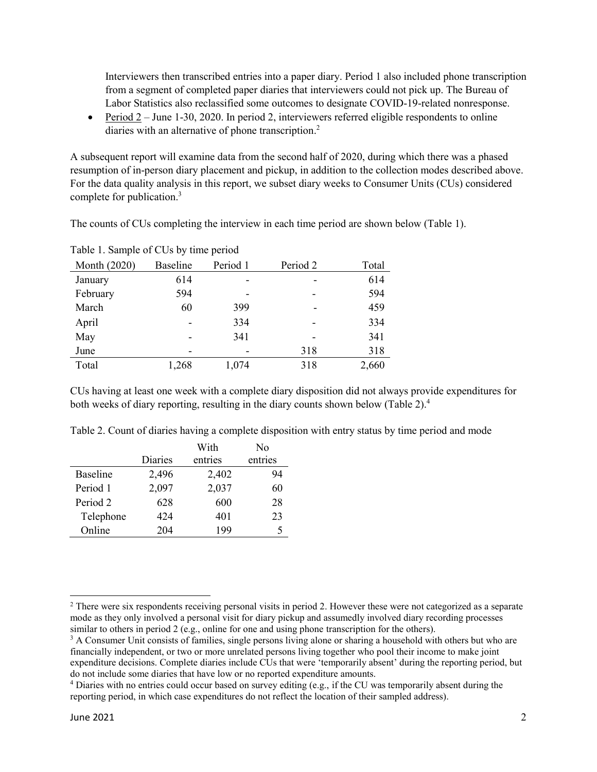Interviewers then transcribed entries into a paper diary. Period 1 also included phone transcription from a segment of completed paper diaries that interviewers could not pick up. The Bureau of Labor Statistics also reclassified some outcomes to designate COVID-19-related nonresponse.

Period  $2 -$  June 1-30, 2020. In period 2, interviewers referred eligible respondents to online diaries with an alternative of phone transcription.<sup>2</sup>

A subsequent report will examine data from the second half of 2020, during which there was a phased resumption of in-person diary placement and pickup, in addition to the collection modes described above. For the data quality analysis in this report, we subset diary weeks to Consumer Units (CUs) considered complete for publication.<sup>3</sup>

The counts of CUs completing the interview in each time period are shown below (Table 1).

| Month (2020) | <b>Baseline</b> | Period 1 | Period 2 | Total |
|--------------|-----------------|----------|----------|-------|
| January      | 614             |          |          | 614   |
| February     | 594             |          | -        | 594   |
| March        | 60              | 399      |          | 459   |
| April        |                 | 334      | -        | 334   |
| May          |                 | 341      |          | 341   |
| June         |                 |          | 318      | 318   |
| Total        | 1,268           | 1,074    | 318      | 2,660 |

Table 1. Sample of CUs by time period

CUs having at least one week with a complete diary disposition did not always provide expenditures for both weeks of diary reporting, resulting in the diary counts shown below (Table 2).<sup>4</sup>

|           |         | With    | No      |
|-----------|---------|---------|---------|
|           | Diaries | entries | entries |
| Baseline  | 2,496   | 2,402   | 94      |
| Period 1  | 2,097   | 2,037   | 60      |
| Period 2  | 628     | 600     | 28      |
| Telephone | 424     | 401     | 23      |
| Online    | 204     | 199     | 5       |

Table 2. Count of diaries having a complete disposition with entry status by time period and mode

 $\overline{\phantom{a}}$ 

 $2$  There were six respondents receiving personal visits in period 2. However these were not categorized as a separate mode as they only involved a personal visit for diary pickup and assumedly involved diary recording processes similar to others in period 2 (e.g., online for one and using phone transcription for the others).

<sup>&</sup>lt;sup>3</sup> A Consumer Unit consists of families, single persons living alone or sharing a household with others but who are financially independent, or two or more unrelated persons living together who pool their income to make joint expenditure decisions. Complete diaries include CUs that were 'temporarily absent' during the reporting period, but do not include some diaries that have low or no reported expenditure amounts.

<sup>4</sup> Diaries with no entries could occur based on survey editing (e.g., if the CU was temporarily absent during the reporting period, in which case expenditures do not reflect the location of their sampled address).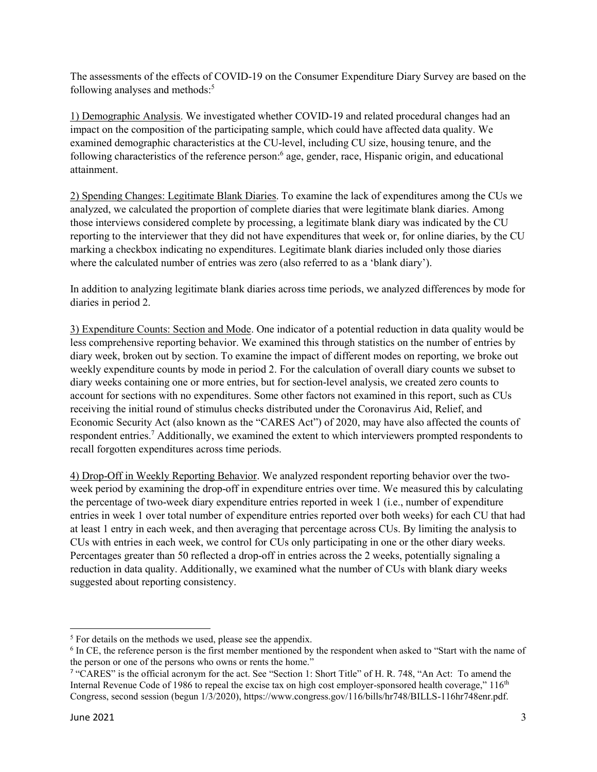The assessments of the effects of COVID-19 on the Consumer Expenditure Diary Survey are based on the following analyses and methods:<sup>5</sup>

1) Demographic Analysis. We investigated whether COVID-19 and related procedural changes had an impact on the composition of the participating sample, which could have affected data quality. We examined demographic characteristics at the CU-level, including CU size, housing tenure, and the following characteristics of the reference person:<sup>6</sup> age, gender, race, Hispanic origin, and educational attainment.

2) Spending Changes: Legitimate Blank Diaries. To examine the lack of expenditures among the CUs we analyzed, we calculated the proportion of complete diaries that were legitimate blank diaries. Among those interviews considered complete by processing, a legitimate blank diary was indicated by the CU reporting to the interviewer that they did not have expenditures that week or, for online diaries, by the CU marking a checkbox indicating no expenditures. Legitimate blank diaries included only those diaries where the calculated number of entries was zero (also referred to as a 'blank diary').

In addition to analyzing legitimate blank diaries across time periods, we analyzed differences by mode for diaries in period 2.

3) Expenditure Counts: Section and Mode. One indicator of a potential reduction in data quality would be less comprehensive reporting behavior. We examined this through statistics on the number of entries by diary week, broken out by section. To examine the impact of different modes on reporting, we broke out weekly expenditure counts by mode in period 2. For the calculation of overall diary counts we subset to diary weeks containing one or more entries, but for section-level analysis, we created zero counts to account for sections with no expenditures. Some other factors not examined in this report, such as CUs receiving the initial round of stimulus checks distributed under the Coronavirus Aid, Relief, and Economic Security Act (also known as the "CARES Act") of 2020, may have also affected the counts of respondent entries.<sup>7</sup> Additionally, we examined the extent to which interviewers prompted respondents to recall forgotten expenditures across time periods.

4) Drop-Off in Weekly Reporting Behavior. We analyzed respondent reporting behavior over the twoweek period by examining the drop-off in expenditure entries over time. We measured this by calculating the percentage of two-week diary expenditure entries reported in week 1 (i.e., number of expenditure entries in week 1 over total number of expenditure entries reported over both weeks) for each CU that had at least 1 entry in each week, and then averaging that percentage across CUs. By limiting the analysis to CUs with entries in each week, we control for CUs only participating in one or the other diary weeks. Percentages greater than 50 reflected a drop-off in entries across the 2 weeks, potentially signaling a reduction in data quality. Additionally, we examined what the number of CUs with blank diary weeks suggested about reporting consistency.

l

<sup>&</sup>lt;sup>5</sup> For details on the methods we used, please see the appendix.

<sup>&</sup>lt;sup>6</sup> In CE, the reference person is the first member mentioned by the respondent when asked to "Start with the name of the person or one of the persons who owns or rents the home."

<sup>7</sup> "CARES" is the official acronym for the act. See "Section 1: Short Title" of H. R. 748, "An Act: To amend the Internal Revenue Code of 1986 to repeal the excise tax on high cost employer-sponsored health coverage,"  $116<sup>th</sup>$ Congress, second session (begun 1/3/2020), https://www.congress.gov/116/bills/hr748/BILLS-116hr748enr.pdf.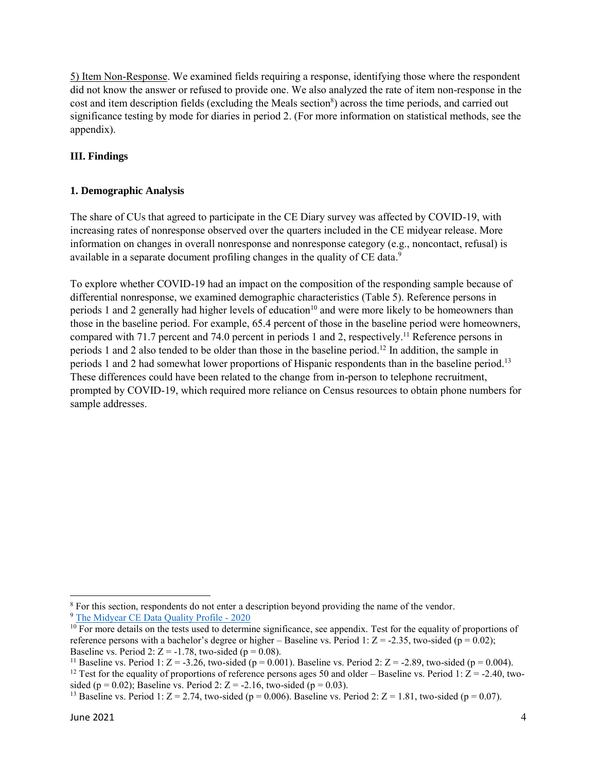5) Item Non-Response. We examined fields requiring a response, identifying those where the respondent did not know the answer or refused to provide one. We also analyzed the rate of item non-response in the cost and item description fields (excluding the Meals section<sup>8</sup>) across the time periods, and carried out significance testing by mode for diaries in period 2. (For more information on statistical methods, see the appendix).

# **III. Findings**

# **1. Demographic Analysis**

The share of CUs that agreed to participate in the CE Diary survey was affected by COVID-19, with increasing rates of nonresponse observed over the quarters included in the CE midyear release. More information on changes in overall nonresponse and nonresponse category (e.g., noncontact, refusal) is available in a separate document profiling changes in the quality of CE data.<sup>9</sup>

To explore whether COVID-19 had an impact on the composition of the responding sample because of differential nonresponse, we examined demographic characteristics (Table 5). Reference persons in periods 1 and 2 generally had higher levels of education<sup>10</sup> and were more likely to be homeowners than those in the baseline period. For example, 65.4 percent of those in the baseline period were homeowners, compared with 71.7 percent and 74.0 percent in periods 1 and 2, respectively.<sup>11</sup> Reference persons in periods 1 and 2 also tended to be older than those in the baseline period.<sup>12</sup> In addition, the sample in periods 1 and 2 had somewhat lower proportions of Hispanic respondents than in the baseline period.<sup>13</sup> These differences could have been related to the change from in-person to telephone recruitment, prompted by COVID-19, which required more reliance on Census resources to obtain phone numbers for sample addresses.

 $\overline{\phantom{a}}$ 

<sup>&</sup>lt;sup>8</sup> For this section, respondents do not enter a description beyond providing the name of the vendor.

<sup>9</sup> [The Midyear CE Data Quality Profile - 2020](https://www.bls.gov/cex/dqreport-midyear-2020.pdf) 

 $10$  For more details on the tests used to determine significance, see appendix. Test for the equality of proportions of reference persons with a bachelor's degree or higher – Baseline vs. Period 1:  $Z = -2.35$ , two-sided (p = 0.02); Baseline vs. Period 2:  $Z = -1.78$ , two-sided (p = 0.08).

<sup>&</sup>lt;sup>11</sup> Baseline vs. Period 1:  $Z = -3.26$ , two-sided (p = 0.001). Baseline vs. Period 2:  $Z = -2.89$ , two-sided (p = 0.004).

<sup>&</sup>lt;sup>12</sup> Test for the equality of proportions of reference persons ages 50 and older – Baseline vs. Period 1:  $\overline{Z}$  = -2.40, twosided (p = 0.02); Baseline vs. Period 2: Z = -2.16, two-sided (p = 0.03).

<sup>&</sup>lt;sup>13</sup> Baseline vs. Period 1:  $Z = 2.74$ , two-sided (p = 0.006). Baseline vs. Period 2:  $Z = 1.81$ , two-sided (p = 0.07).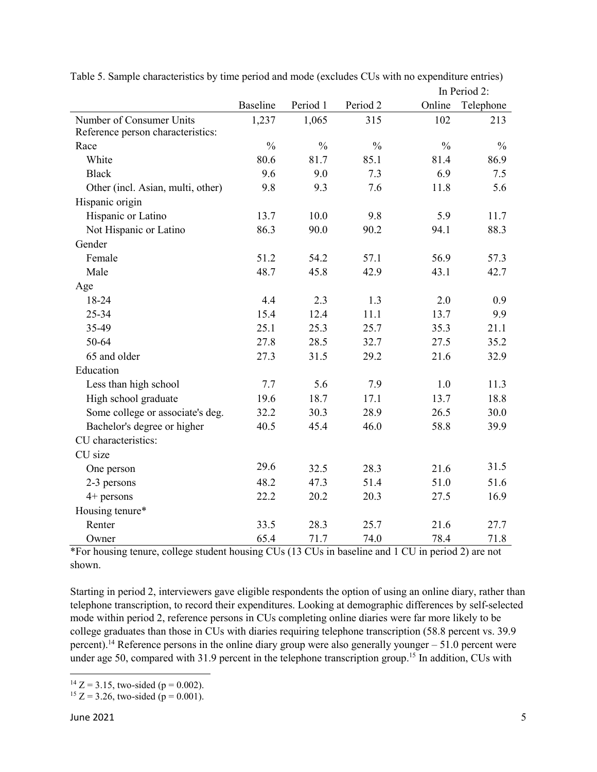|                                   |                 |               |               |               | In Period 2:  |
|-----------------------------------|-----------------|---------------|---------------|---------------|---------------|
|                                   | <b>Baseline</b> | Period 1      | Period 2      | Online        | Telephone     |
| Number of Consumer Units          | 1,237           | 1,065         | 315           | 102           | 213           |
| Reference person characteristics: |                 |               |               |               |               |
| Race                              | $\frac{0}{0}$   | $\frac{0}{0}$ | $\frac{0}{0}$ | $\frac{0}{0}$ | $\frac{0}{0}$ |
| White                             | 80.6            | 81.7          | 85.1          | 81.4          | 86.9          |
| <b>Black</b>                      | 9.6             | 9.0           | 7.3           | 6.9           | 7.5           |
| Other (incl. Asian, multi, other) | 9.8             | 9.3           | 7.6           | 11.8          | 5.6           |
| Hispanic origin                   |                 |               |               |               |               |
| Hispanic or Latino                | 13.7            | 10.0          | 9.8           | 5.9           | 11.7          |
| Not Hispanic or Latino            | 86.3            | 90.0          | 90.2          | 94.1          | 88.3          |
| Gender                            |                 |               |               |               |               |
| Female                            | 51.2            | 54.2          | 57.1          | 56.9          | 57.3          |
| Male                              | 48.7            | 45.8          | 42.9          | 43.1          | 42.7          |
| Age                               |                 |               |               |               |               |
| 18-24                             | 4.4             | 2.3           | 1.3           | 2.0           | 0.9           |
| 25-34                             | 15.4            | 12.4          | 11.1          | 13.7          | 9.9           |
| 35-49                             | 25.1            | 25.3          | 25.7          | 35.3          | 21.1          |
| 50-64                             | 27.8            | 28.5          | 32.7          | 27.5          | 35.2          |
| 65 and older                      | 27.3            | 31.5          | 29.2          | 21.6          | 32.9          |
| Education                         |                 |               |               |               |               |
| Less than high school             | 7.7             | 5.6           | 7.9           | 1.0           | 11.3          |
| High school graduate              | 19.6            | 18.7          | 17.1          | 13.7          | 18.8          |
| Some college or associate's deg.  | 32.2            | 30.3          | 28.9          | 26.5          | 30.0          |
| Bachelor's degree or higher       | 40.5            | 45.4          | 46.0          | 58.8          | 39.9          |
| CU characteristics:               |                 |               |               |               |               |
| CU size                           |                 |               |               |               |               |
| One person                        | 29.6            | 32.5          | 28.3          | 21.6          | 31.5          |
| 2-3 persons                       | 48.2            | 47.3          | 51.4          | 51.0          | 51.6          |
| $4+$ persons                      | 22.2            | 20.2          | 20.3          | 27.5          | 16.9          |
| Housing tenure*                   |                 |               |               |               |               |
| Renter                            | 33.5            | 28.3          | 25.7          | 21.6          | 27.7          |
| Owner                             | 65.4            | 71.7          | 74.0          | 78.4          | 71.8          |

Table 5. Sample characteristics by time period and mode (excludes CUs with no expenditure entries)

\*For housing tenure, college student housing CUs (13 CUs in baseline and 1 CU in period 2) are not shown.

Starting in period 2, interviewers gave eligible respondents the option of using an online diary, rather than telephone transcription, to record their expenditures. Looking at demographic differences by self-selected mode within period 2, reference persons in CUs completing online diaries were far more likely to be college graduates than those in CUs with diaries requiring telephone transcription (58.8 percent vs. 39.9 percent).<sup>14</sup> Reference persons in the online diary group were also generally younger – 51.0 percent were under age 50, compared with 31.9 percent in the telephone transcription group.<sup>15</sup> In addition, CUs with

 $\overline{\phantom{a}}$ <sup>14</sup> Z = 3.15, two-sided ( $p = 0.002$ ).

<sup>&</sup>lt;sup>15</sup> Z = 3.26, two-sided ( $p = 0.001$ ).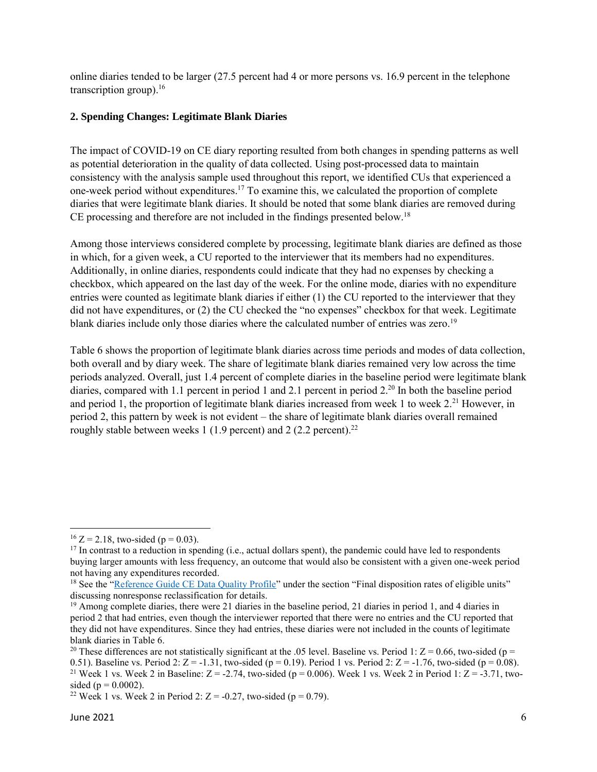online diaries tended to be larger (27.5 percent had 4 or more persons vs. 16.9 percent in the telephone transcription group). $16$ 

# **2. Spending Changes: Legitimate Blank Diaries**

The impact of COVID-19 on CE diary reporting resulted from both changes in spending patterns as well as potential deterioration in the quality of data collected. Using post-processed data to maintain consistency with the analysis sample used throughout this report, we identified CUs that experienced a one-week period without expenditures.<sup>17</sup> To examine this, we calculated the proportion of complete diaries that were legitimate blank diaries. It should be noted that some blank diaries are removed during CE processing and therefore are not included in the findings presented below.<sup>18</sup>

Among those interviews considered complete by processing, legitimate blank diaries are defined as those in which, for a given week, a CU reported to the interviewer that its members had no expenditures. Additionally, in online diaries, respondents could indicate that they had no expenses by checking a checkbox, which appeared on the last day of the week. For the online mode, diaries with no expenditure entries were counted as legitimate blank diaries if either (1) the CU reported to the interviewer that they did not have expenditures, or (2) the CU checked the "no expenses" checkbox for that week. Legitimate blank diaries include only those diaries where the calculated number of entries was zero.<sup>19</sup>

Table 6 shows the proportion of legitimate blank diaries across time periods and modes of data collection, both overall and by diary week. The share of legitimate blank diaries remained very low across the time periods analyzed. Overall, just 1.4 percent of complete diaries in the baseline period were legitimate blank diaries, compared with 1.1 percent in period 1 and 2.1 percent in period 2.<sup>20</sup> In both the baseline period and period 1, the proportion of legitimate blank diaries increased from week 1 to week  $2<sup>21</sup>$  However, in period 2, this pattern by week is not evident – the share of legitimate blank diaries overall remained roughly stable between weeks 1 (1.9 percent) and 2 (2.2 percent).<sup>22</sup>

l

 $16 Z = 2.18$ , two-sided (p = 0.03).

 $17$  In contrast to a reduction in spending (i.e., actual dollars spent), the pandemic could have led to respondents buying larger amounts with less frequency, an outcome that would also be consistent with a given one-week period not having any expenditures recorded.

<sup>&</sup>lt;sup>18</sup> See the ["Reference Guide CE Data Quality Profile"](https://www.bls.gov/cex/dqp-reference-guide-midyear-2020.pdf) under the section "Final disposition rates of eligible units" discussing nonresponse reclassification for details.

<sup>&</sup>lt;sup>19</sup> Among complete diaries, there were 21 diaries in the baseline period, 21 diaries in period 1, and 4 diaries in period 2 that had entries, even though the interviewer reported that there were no entries and the CU reported that they did not have expenditures. Since they had entries, these diaries were not included in the counts of legitimate blank diaries in Table 6.

<sup>&</sup>lt;sup>20</sup> These differences are not statistically significant at the .05 level. Baseline vs. Period 1:  $Z = 0.66$ , two-sided (p = 0.51). Baseline vs. Period 2:  $Z = -1.31$ , two-sided (p = 0.19). Period 1 vs. Period 2:  $Z = -1.76$ , two-sided (p = 0.08). <sup>21</sup> Week 1 vs. Week 2 in Baseline:  $Z = -2.74$ , two-sided (p = 0.006). Week 1 vs. Week 2 in Period 1:  $Z = -3.71$ , twosided ( $p = 0.0002$ ).

<sup>&</sup>lt;sup>22</sup> Week 1 vs. Week 2 in Period 2:  $Z = -0.27$ , two-sided (p = 0.79).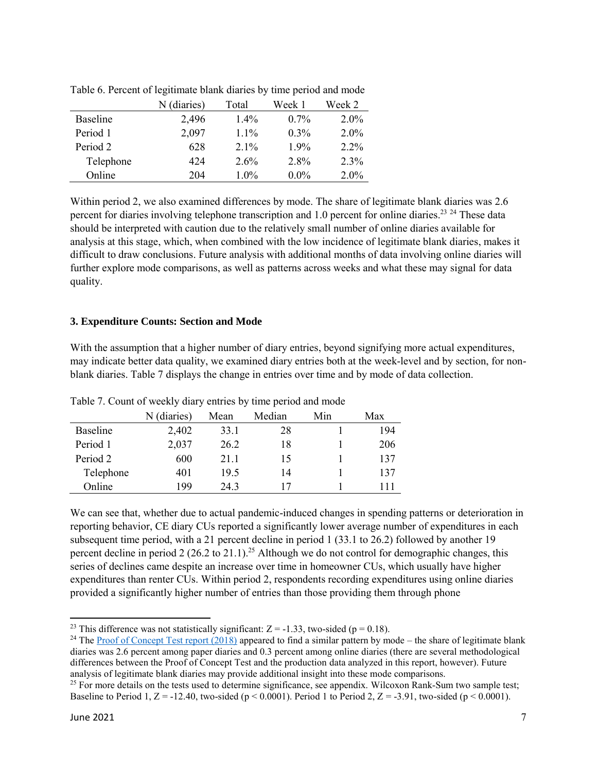|                 | N (diaries) | Total   | Week 1  | Week 2  |
|-----------------|-------------|---------|---------|---------|
| <b>Baseline</b> | 2,496       | $1.4\%$ | $0.7\%$ | 2.0%    |
| Period 1        | 2,097       | $1.1\%$ | $0.3\%$ | $2.0\%$ |
| Period 2        | 628         | $2.1\%$ | 1.9%    | $2.2\%$ |
| Telephone       | 424         | $2.6\%$ | 2.8%    | $2.3\%$ |
| Online          | 204         | 1.0%    | $0.0\%$ | $2.0\%$ |

Table 6. Percent of legitimate blank diaries by time period and mode

Within period 2, we also examined differences by mode. The share of legitimate blank diaries was 2.6 percent for diaries involving telephone transcription and 1.0 percent for online diaries.<sup>23</sup> <sup>24</sup> These data should be interpreted with caution due to the relatively small number of online diaries available for analysis at this stage, which, when combined with the low incidence of legitimate blank diaries, makes it difficult to draw conclusions. Future analysis with additional months of data involving online diaries will further explore mode comparisons, as well as patterns across weeks and what these may signal for data quality.

#### **3. Expenditure Counts: Section and Mode**

With the assumption that a higher number of diary entries, beyond signifying more actual expenditures, may indicate better data quality, we examined diary entries both at the week-level and by section, for nonblank diaries. Table 7 displays the change in entries over time and by mode of data collection.

|                 | N (diaries) | Mean | Median | Min | Max |
|-----------------|-------------|------|--------|-----|-----|
| <b>Baseline</b> | 2,402       | 33.1 | 28     |     | 194 |
| Period 1        | 2,037       | 26.2 | 18     |     | 206 |
| Period 2        | 600         | 21.1 | 15     |     | 137 |
| Telephone       | 401         | 19.5 | 14     |     | 137 |
| Online          | 199         | 24.3 | 17     |     |     |

Table 7. Count of weekly diary entries by time period and mode

We can see that, whether due to actual pandemic-induced changes in spending patterns or deterioration in reporting behavior, CE diary CUs reported a significantly lower average number of expenditures in each subsequent time period, with a 21 percent decline in period 1 (33.1 to 26.2) followed by another 19 percent decline in period 2 (26.2 to 21.1).<sup>25</sup> Although we do not control for demographic changes, this series of declines came despite an increase over time in homeowner CUs, which usually have higher expenditures than renter CUs. Within period 2, respondents recording expenditures using online diaries provided a significantly higher number of entries than those providing them through phone

 $\overline{\phantom{a}}$ <sup>23</sup> This difference was not statistically significant:  $Z = -1.33$ , two-sided (p = 0.18).

<sup>&</sup>lt;sup>24</sup> The [Proof of Concept Test report \(2018\)](https://www.bls.gov/cex/research_papers/pdf/proof-of-concept-test-final-report-public-revised.pdf) appeared to find a similar pattern by mode – the share of legitimate blank diaries was 2.6 percent among paper diaries and 0.3 percent among online diaries (there are several methodological differences between the Proof of Concept Test and the production data analyzed in this report, however). Future analysis of legitimate blank diaries may provide additional insight into these mode comparisons.

 $25$  For more details on the tests used to determine significance, see appendix. Wilcoxon Rank-Sum two sample test; Baseline to Period 1,  $Z = -12.40$ , two-sided (p < 0.0001). Period 1 to Period 2,  $Z = -3.91$ , two-sided (p < 0.0001).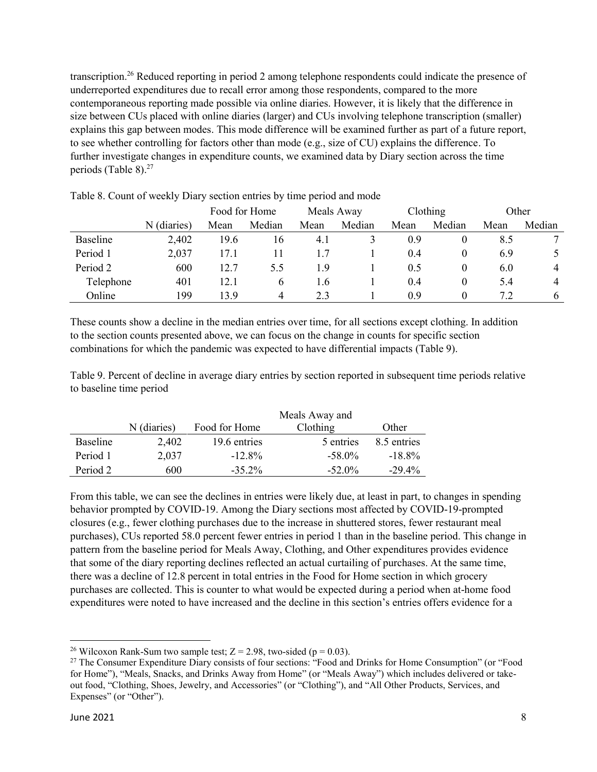transcription.<sup>26</sup> Reduced reporting in period 2 among telephone respondents could indicate the presence of underreported expenditures due to recall error among those respondents, compared to the more contemporaneous reporting made possible via online diaries. However, it is likely that the difference in size between CUs placed with online diaries (larger) and CUs involving telephone transcription (smaller) explains this gap between modes. This mode difference will be examined further as part of a future report, to see whether controlling for factors other than mode (e.g., size of CU) explains the difference. To further investigate changes in expenditure counts, we examined data by Diary section across the time periods (Table 8).<sup>27</sup>

|           |             | Food for Home |        | Meals Away |        | Clothing |          | Other |              |
|-----------|-------------|---------------|--------|------------|--------|----------|----------|-------|--------------|
|           | N (diaries) | Mean          | Median | Mean       | Median | Mean     | Median   | Mean  | Median       |
| Baseline  | 2,402       | 19.6          | 16     | 4.1        |        | 0.9      | O        | 8.5   |              |
| Period 1  | 2,037       | 17.1          | 11     |            |        | 0.4      | $\theta$ | 6.9   |              |
| Period 2  | 600         | 12.7          | 5.5    | 1.9        |        | 0.5      | $\theta$ | 6.0   |              |
| Telephone | 401         | 12.1          | 6      | 1.6        |        | 0.4      | $\theta$ | 5.4   |              |
| Online    | 199         | 13.9          | 4      | 2.3        |        | 0.9      | O        | 7.2   | <sub>b</sub> |

Table 8. Count of weekly Diary section entries by time period and mode

These counts show a decline in the median entries over time, for all sections except clothing. In addition to the section counts presented above, we can focus on the change in counts for specific section combinations for which the pandemic was expected to have differential impacts (Table 9).

Table 9. Percent of decline in average diary entries by section reported in subsequent time periods relative to baseline time period

|          |             |               | Meals Away and |             |
|----------|-------------|---------------|----------------|-------------|
|          | N (diaries) | Food for Home | Clothing       | Other       |
| Baseline | 2.402       | 19.6 entries  | 5 entries      | 8.5 entries |
| Period 1 | 2,037       | $-12.8\%$     | $-58.0\%$      | $-18.8\%$   |
| Period 2 | 600         | $-35.2\%$     | $-52.0\%$      | $-29.4\%$   |

From this table, we can see the declines in entries were likely due, at least in part, to changes in spending behavior prompted by COVID-19. Among the Diary sections most affected by COVID-19-prompted closures (e.g., fewer clothing purchases due to the increase in shuttered stores, fewer restaurant meal purchases), CUs reported 58.0 percent fewer entries in period 1 than in the baseline period. This change in pattern from the baseline period for Meals Away, Clothing, and Other expenditures provides evidence that some of the diary reporting declines reflected an actual curtailing of purchases. At the same time, there was a decline of 12.8 percent in total entries in the Food for Home section in which grocery purchases are collected. This is counter to what would be expected during a period when at-home food expenditures were noted to have increased and the decline in this section's entries offers evidence for a

 $\overline{a}$ <sup>26</sup> Wilcoxon Rank-Sum two sample test;  $Z = 2.98$ , two-sided (p = 0.03).

<sup>&</sup>lt;sup>27</sup> The Consumer Expenditure Diary consists of four sections: "Food and Drinks for Home Consumption" (or "Food for Home"), "Meals, Snacks, and Drinks Away from Home" (or "Meals Away") which includes delivered or takeout food, "Clothing, Shoes, Jewelry, and Accessories" (or "Clothing"), and "All Other Products, Services, and Expenses" (or "Other").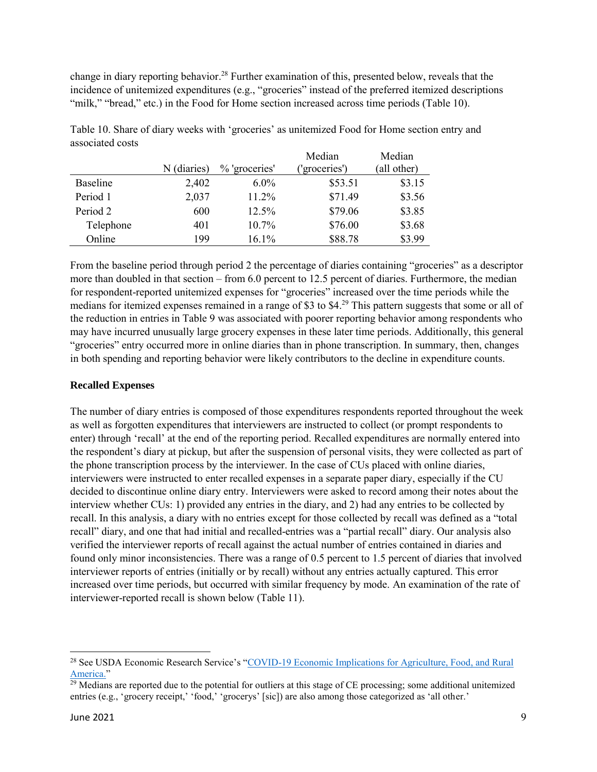change in diary reporting behavior.<sup>28</sup> Further examination of this, presented below, reveals that the incidence of unitemized expenditures (e.g., "groceries" instead of the preferred itemized descriptions "milk," "bread," etc.) in the Food for Home section increased across time periods (Table 10).

|           |             |               | Median       | Median      |
|-----------|-------------|---------------|--------------|-------------|
|           | N (diaries) | % 'groceries' | 'groceries') | (all other) |
| Baseline  | 2,402       | $6.0\%$       | \$53.51      | \$3.15      |
| Period 1  | 2,037       | 11.2%         | \$71.49      | \$3.56      |
| Period 2  | 600         | 12.5%         | \$79.06      | \$3.85      |
| Telephone | 401         | 10.7%         | \$76.00      | \$3.68      |
| Online    | 199         | 16.1%         | \$88.78      | \$3.99      |

Table 10. Share of diary weeks with 'groceries' as unitemized Food for Home section entry and associated costs

From the baseline period through period 2 the percentage of diaries containing "groceries" as a descriptor more than doubled in that section – from 6.0 percent to 12.5 percent of diaries. Furthermore, the median for respondent-reported unitemized expenses for "groceries" increased over the time periods while the medians for itemized expenses remained in a range of \$3 to \$4.<sup>29</sup> This pattern suggests that some or all of the reduction in entries in Table 9 was associated with poorer reporting behavior among respondents who may have incurred unusually large grocery expenses in these later time periods. Additionally, this general "groceries" entry occurred more in online diaries than in phone transcription. In summary, then, changes in both spending and reporting behavior were likely contributors to the decline in expenditure counts.

#### **Recalled Expenses**

The number of diary entries is composed of those expenditures respondents reported throughout the week as well as forgotten expenditures that interviewers are instructed to collect (or prompt respondents to enter) through 'recall' at the end of the reporting period. Recalled expenditures are normally entered into the respondent's diary at pickup, but after the suspension of personal visits, they were collected as part of the phone transcription process by the interviewer. In the case of CUs placed with online diaries, interviewers were instructed to enter recalled expenses in a separate paper diary, especially if the CU decided to discontinue online diary entry. Interviewers were asked to record among their notes about the interview whether CUs: 1) provided any entries in the diary, and 2) had any entries to be collected by recall. In this analysis, a diary with no entries except for those collected by recall was defined as a "total recall" diary, and one that had initial and recalled-entries was a "partial recall" diary. Our analysis also verified the interviewer reports of recall against the actual number of entries contained in diaries and found only minor inconsistencies. There was a range of 0.5 percent to 1.5 percent of diaries that involved interviewer reports of entries (initially or by recall) without any entries actually captured. This error increased over time periods, but occurred with similar frequency by mode. An examination of the rate of interviewer-reported recall is shown below (Table 11).

 $\overline{\phantom{a}}$ 

<sup>&</sup>lt;sup>28</sup> See USDA Economic Research Service's "COVID-19 Economic Implications for Agriculture, Food, and Rural [America."](https://www.ers.usda.gov/covid-19/food-and-consumers/#:~:text=Analysis%20of%20data%20from%20the,%2473%20billion%20in%20October%202020)

 $29$  Medians are reported due to the potential for outliers at this stage of CE processing; some additional unitemized entries (e.g., 'grocery receipt,' 'food,' 'grocerys' [sic]) are also among those categorized as 'all other.'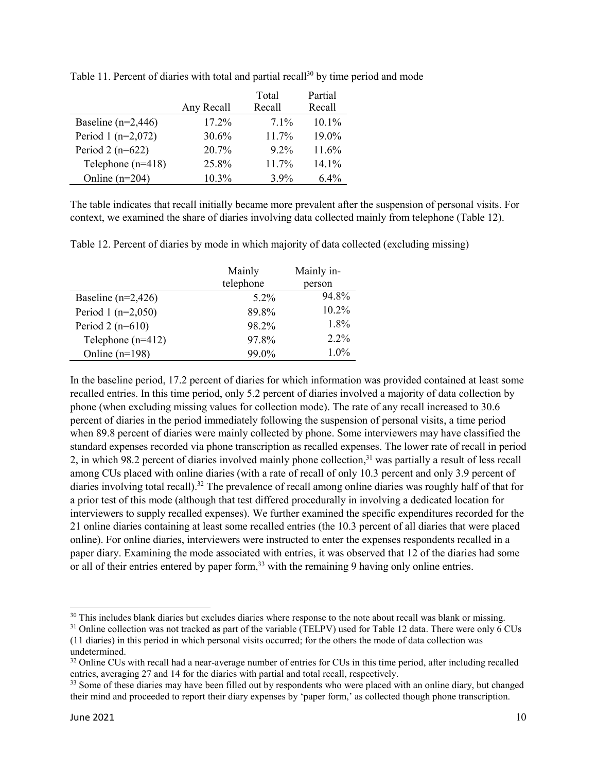|                        |            | Total    | Partial  |
|------------------------|------------|----------|----------|
|                        | Any Recall | Recall   | Recall   |
| Baseline ( $n=2,446$ ) | 17.2%      | $7.1\%$  | $10.1\%$ |
| Period 1 $(n=2,072)$   | 30.6%      | $11.7\%$ | 19.0%    |
| Period 2 ( $n=622$ )   | 20.7%      | $9.2\%$  | 11.6%    |
| Telephone $(n=418)$    | 25.8%      | 11.7%    | $14.1\%$ |
| Online $(n=204)$       | 10.3%      | $3.9\%$  | 6.4%     |

Table 11. Percent of diaries with total and partial recall<sup>30</sup> by time period and mode

The table indicates that recall initially became more prevalent after the suspension of personal visits. For context, we examined the share of diaries involving data collected mainly from telephone (Table 12).

Table 12. Percent of diaries by mode in which majority of data collected (excluding missing)

|                        | Mainly    | Mainly in- |
|------------------------|-----------|------------|
|                        | telephone | person     |
| Baseline ( $n=2,426$ ) | 5.2%      | 94.8%      |
| Period 1 $(n=2,050)$   | 89.8%     | 10.2%      |
| Period 2 $(n=610)$     | 98.2%     | 1.8%       |
| Telephone $(n=412)$    | 97.8%     | $2.2\%$    |
| Online $(n=198)$       | 99.0%     | $1.0\%$    |

In the baseline period, 17.2 percent of diaries for which information was provided contained at least some recalled entries. In this time period, only 5.2 percent of diaries involved a majority of data collection by phone (when excluding missing values for collection mode). The rate of any recall increased to 30.6 percent of diaries in the period immediately following the suspension of personal visits, a time period when 89.8 percent of diaries were mainly collected by phone. Some interviewers may have classified the standard expenses recorded via phone transcription as recalled expenses. The lower rate of recall in period 2, in which 98.2 percent of diaries involved mainly phone collection,<sup>31</sup> was partially a result of less recall among CUs placed with online diaries (with a rate of recall of only 10.3 percent and only 3.9 percent of diaries involving total recall).<sup>32</sup> The prevalence of recall among online diaries was roughly half of that for a prior test of this mode (although that test differed procedurally in involving a dedicated location for interviewers to supply recalled expenses). We further examined the specific expenditures recorded for the 21 online diaries containing at least some recalled entries (the 10.3 percent of all diaries that were placed online). For online diaries, interviewers were instructed to enter the expenses respondents recalled in a paper diary. Examining the mode associated with entries, it was observed that 12 of the diaries had some or all of their entries entered by paper form,<sup>33</sup> with the remaining 9 having only online entries.

 $\overline{a}$ 

<sup>&</sup>lt;sup>30</sup> This includes blank diaries but excludes diaries where response to the note about recall was blank or missing.

 $31$  Online collection was not tracked as part of the variable (TELPV) used for Table 12 data. There were only 6 CUs (11 diaries) in this period in which personal visits occurred; for the others the mode of data collection was undetermined.

 $32$  Online CUs with recall had a near-average number of entries for CUs in this time period, after including recalled entries, averaging 27 and 14 for the diaries with partial and total recall, respectively.

<sup>&</sup>lt;sup>33</sup> Some of these diaries may have been filled out by respondents who were placed with an online diary, but changed their mind and proceeded to report their diary expenses by 'paper form,' as collected though phone transcription.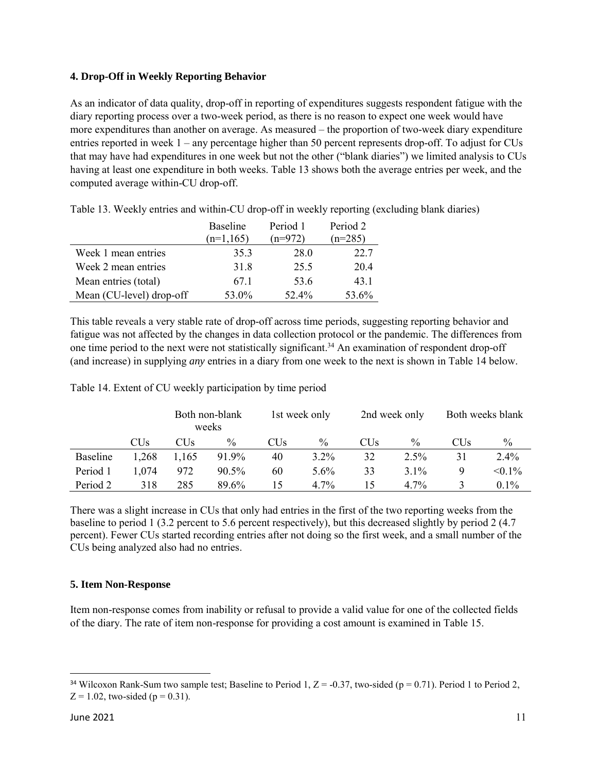#### **4. Drop-Off in Weekly Reporting Behavior**

As an indicator of data quality, drop-off in reporting of expenditures suggests respondent fatigue with the diary reporting process over a two-week period, as there is no reason to expect one week would have more expenditures than another on average. As measured – the proportion of two-week diary expenditure entries reported in week 1 – any percentage higher than 50 percent represents drop-off. To adjust for CUs that may have had expenditures in one week but not the other ("blank diaries") we limited analysis to CUs having at least one expenditure in both weeks. Table 13 shows both the average entries per week, and the computed average within-CU drop-off.

|                          | <b>Baseline</b> | Period 1  | Period 2  |
|--------------------------|-----------------|-----------|-----------|
|                          | $(n=1,165)$     | $(n=972)$ | $(n=285)$ |
| Week 1 mean entries      | 35.3            | 28.0      | 22.7      |
| Week 2 mean entries      | 31.8            | 25.5      | 20.4      |
| Mean entries (total)     | 67.1            | 53.6      | 43.1      |
| Mean (CU-level) drop-off | 53.0%           | 52.4%     | 53.6%     |

Table 13. Weekly entries and within-CU drop-off in weekly reporting (excluding blank diaries)

This table reveals a very stable rate of drop-off across time periods, suggesting reporting behavior and fatigue was not affected by the changes in data collection protocol or the pandemic. The differences from one time period to the next were not statistically significant.<sup>34</sup> An examination of respondent drop-off (and increase) in supplying *any* entries in a diary from one week to the next is shown in Table 14 below.

Table 14. Extent of CU weekly participation by time period

|          |                 | Both non-blank<br>weeks |               | 1st week only   |               | 2nd week only   |               | Both weeks blank |               |
|----------|-----------------|-------------------------|---------------|-----------------|---------------|-----------------|---------------|------------------|---------------|
|          | CU <sub>s</sub> | CUs                     | $\frac{0}{0}$ | CU <sub>s</sub> | $\frac{0}{0}$ | CU <sub>s</sub> | $\frac{0}{0}$ | CUs              | $\frac{0}{0}$ |
| Baseline | 1,268           | 1.165                   | 91.9%         | 40              | 3.2%          | 32              | $2.5\%$       | 31               | $2.4\%$       |
| Period 1 | 1.074           | 972                     | $90.5\%$      | 60              | $5.6\%$       | 33              | $3.1\%$       | 9                | $< 0.1\%$     |
| Period 2 | 318             | 285                     | 89.6%         |                 | $4.7\%$       | 15              | $4.7\%$       |                  | $0.1\%$       |

There was a slight increase in CUs that only had entries in the first of the two reporting weeks from the baseline to period 1 (3.2 percent to 5.6 percent respectively), but this decreased slightly by period 2 (4.7 percent). Fewer CUs started recording entries after not doing so the first week, and a small number of the CUs being analyzed also had no entries.

#### **5. Item Non-Response**

Item non-response comes from inability or refusal to provide a valid value for one of the collected fields of the diary. The rate of item non-response for providing a cost amount is examined in Table 15.

l

<sup>&</sup>lt;sup>34</sup> Wilcoxon Rank-Sum two sample test; Baseline to Period 1,  $Z = -0.37$ , two-sided (p = 0.71). Period 1 to Period 2,  $Z = 1.02$ , two-sided ( $p = 0.31$ ).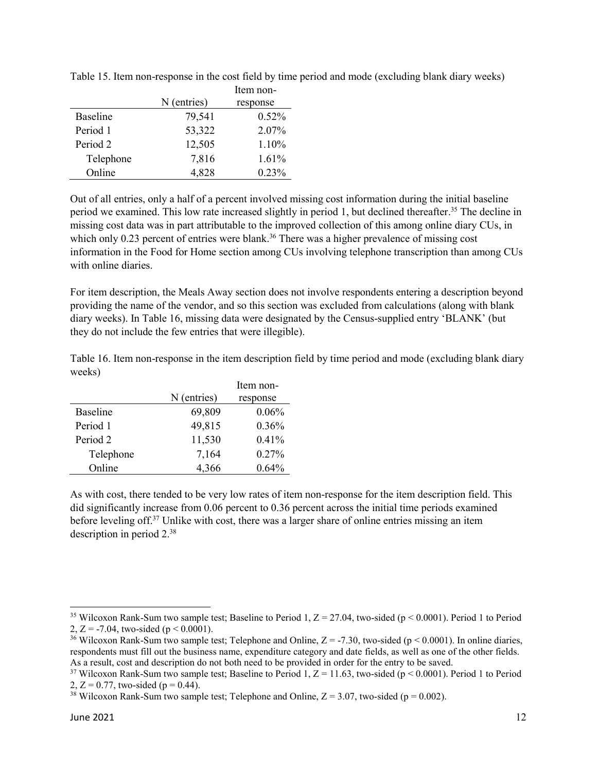|           |             | Item non- |
|-----------|-------------|-----------|
|           | N (entries) | response  |
| Baseline  | 79,541      | 0.52%     |
| Period 1  | 53,322      | 2.07%     |
| Period 2  | 12,505      | 1.10%     |
| Telephone | 7,816       | 1.61%     |
| Online    | 4,828       | 0.23%     |

Table 15. Item non-response in the cost field by time period and mode (excluding blank diary weeks)

Out of all entries, only a half of a percent involved missing cost information during the initial baseline period we examined. This low rate increased slightly in period 1, but declined thereafter.<sup>35</sup> The decline in missing cost data was in part attributable to the improved collection of this among online diary CUs, in which only 0.23 percent of entries were blank.<sup>36</sup> There was a higher prevalence of missing cost information in the Food for Home section among CUs involving telephone transcription than among CUs with online diaries.

For item description, the Meals Away section does not involve respondents entering a description beyond providing the name of the vendor, and so this section was excluded from calculations (along with blank diary weeks). In Table 16, missing data were designated by the Census-supplied entry 'BLANK' (but they do not include the few entries that were illegible).

Table 16. Item non-response in the item description field by time period and mode (excluding blank diary weeks)

|           |             | Item non- |
|-----------|-------------|-----------|
|           | N (entries) | response  |
| Baseline  | 69,809      | $0.06\%$  |
| Period 1  | 49,815      | 0.36%     |
| Period 2  | 11,530      | $0.41\%$  |
| Telephone | 7,164       | $0.27\%$  |
| Online    | 4,366       | 0.64%     |

As with cost, there tended to be very low rates of item non-response for the item description field. This did significantly increase from 0.06 percent to 0.36 percent across the initial time periods examined before leveling off.<sup>37</sup> Unlike with cost, there was a larger share of online entries missing an item description in period 2.<sup>38</sup>

 $\overline{a}$ <sup>35</sup> Wilcoxon Rank-Sum two sample test; Baseline to Period 1,  $Z = 27.04$ , two-sided (p < 0.0001). Period 1 to Period 2, Z = -7.04, two-sided ( $p < 0.0001$ ).

<sup>&</sup>lt;sup>36</sup> Wilcoxon Rank-Sum two sample test; Telephone and Online,  $Z = -7.30$ , two-sided (p < 0.0001). In online diaries, respondents must fill out the business name, expenditure category and date fields, as well as one of the other fields. As a result, cost and description do not both need to be provided in order for the entry to be saved.

<sup>&</sup>lt;sup>37</sup> Wilcoxon Rank-Sum two sample test; Baseline to Period 1,  $Z = 11.63$ , two-sided (p < 0.0001). Period 1 to Period 2,  $Z = 0.77$ , two-sided ( $p = 0.44$ ).

<sup>&</sup>lt;sup>38</sup> Wilcoxon Rank-Sum two sample test; Telephone and Online,  $Z = 3.07$ , two-sided (p = 0.002).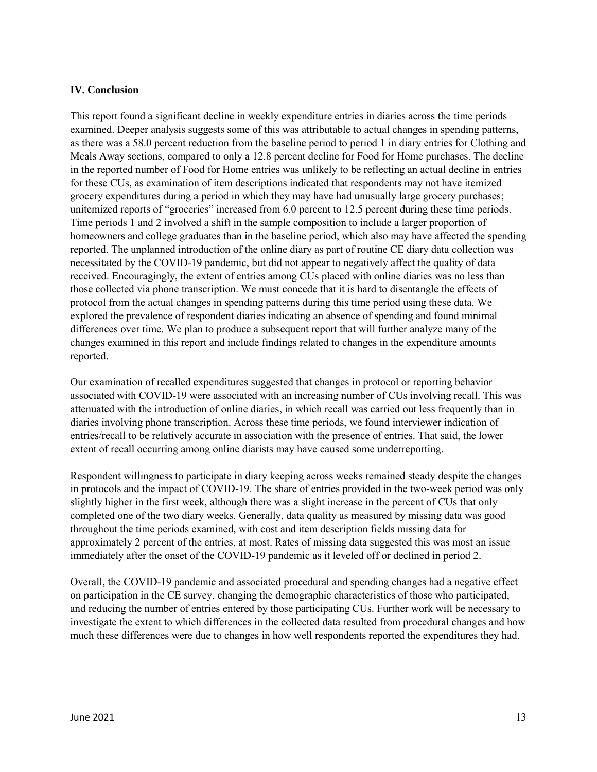#### **IV. Conclusion**

This report found a significant decline in weekly expenditure entries in diaries across the time periods examined. Deeper analysis suggests some of this was attributable to actual changes in spending patterns, as there was a 58.0 percent reduction from the baseline period to period 1 in diary entries for Clothing and Meals Away sections, compared to only a 12.8 percent decline for Food for Home purchases. The decline in the reported number of Food for Home entries was unlikely to be reflecting an actual decline in entries for these CUs, as examination of item descriptions indicated that respondents may not have itemized grocery expenditures during a period in which they may have had unusually large grocery purchases; unitemized reports of "groceries" increased from 6.0 percent to 12.5 percent during these time periods. Time periods 1 and 2 involved a shift in the sample composition to include a larger proportion of homeowners and college graduates than in the baseline period, which also may have affected the spending reported. The unplanned introduction of the online diary as part of routine CE diary data collection was necessitated by the COVID-19 pandemic, but did not appear to negatively affect the quality of data received. Encouragingly, the extent of entries among CUs placed with online diaries was no less than those collected via phone transcription. We must concede that it is hard to disentangle the effects of protocol from the actual changes in spending patterns during this time period using these data. We explored the prevalence of respondent diaries indicating an absence of spending and found minimal differences over time. We plan to produce a subsequent report that will further analyze many of the changes examined in this report and include findings related to changes in the expenditure amounts reported.

Our examination of recalled expenditures suggested that changes in protocol or reporting behavior associated with COVID-19 were associated with an increasing number of CUs involving recall. This was attenuated with the introduction of online diaries, in which recall was carried out less frequently than in diaries involving phone transcription. Across these time periods, we found interviewer indication of entries/recall to be relatively accurate in association with the presence of entries. That said, the lower extent of recall occurring among online diarists may have caused some underreporting.

Respondent willingness to participate in diary keeping across weeks remained steady despite the changes in protocols and the impact of COVID-19. The share of entries provided in the two-week period was only slightly higher in the first week, although there was a slight increase in the percent of CUs that only completed one of the two diary weeks. Generally, data quality as measured by missing data was good throughout the time periods examined, with cost and item description fields missing data for approximately 2 percent of the entries, at most. Rates of missing data suggested this was most an issue immediately after the onset of the COVID-19 pandemic as it leveled off or declined in period 2.

Overall, the COVID-19 pandemic and associated procedural and spending changes had a negative effect on participation in the CE survey, changing the demographic characteristics of those who participated, and reducing the number of entries entered by those participating CUs. Further work will be necessary to investigate the extent to which differences in the collected data resulted from procedural changes and how much these differences were due to changes in how well respondents reported the expenditures they had.